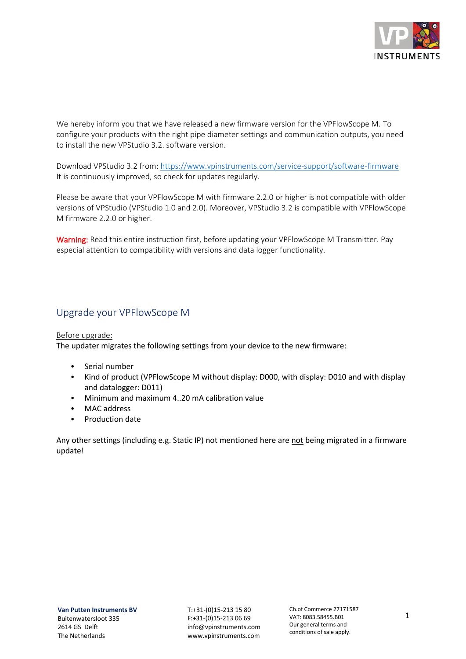

We hereby inform you that we have released a new firmware version for the VPFlowScope M. To configure your products with the right pipe diameter settings and communication outputs, you need to install the new VPStudio 3.2. software version.

Download VPStudio 3.2 from:<https://www.vpinstruments.com/service-support/software-firmware> It is continuously improved, so check for updates regularly.

Please be aware that your VPFlowScope M with firmware 2.2.0 or higher is not compatible with older versions of VPStudio (VPStudio 1.0 and 2.0). Moreover, VPStudio 3.2 is compatible with VPFlowScope M firmware 2.2.0 or higher.

Warning: Read this entire instruction first, before updating your VPFlowScope M Transmitter. Pay especial attention to compatibility with versions and data logger functionality.

## Upgrade your VPFlowScope M

#### Before upgrade:

The updater migrates the following settings from your device to the new firmware:

- Serial number
- Kind of product (VPFlowScope M without display: D000, with display: D010 and with display and datalogger: D011)
- Minimum and maximum 4..20 mA calibration value
- MAC address
- Production date

Any other settings (including e.g. Static IP) not mentioned here are not being migrated in a firmware update!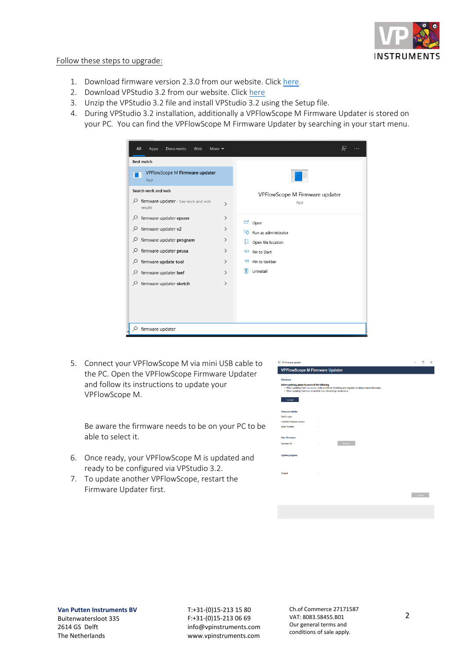

#### Follow these steps to upgrade:

- 1. Download firmware version 2.3.0 from our website. Clic[k here.](https://www.vpinstruments.com/download/89/eigen-upload-via-site/23549/transmitter-v2-3-0-4a4166a.zip)
- 2. Download VPStudio 3.2 from our website. Click [here](https://www.vpinstruments.com/download/89/eigen-upload-via-site/23547/vpstudio_3_2_2_setup.zip)
- 3. Unzip the VPStudio 3.2 file and install VPStudio 3.2 using the Setup file.
- 4. During VPStudio 3.2 installation, additionally a VPFlowScope M Firmware Updater is stored on your PC. You can find the VPFlowScope M Firmware Updater by searching in your start menu.

| All<br>Apps<br>Documents<br>Web<br>More $\blacktriangledown$ |               | ৰু                             |
|--------------------------------------------------------------|---------------|--------------------------------|
| <b>Best match</b>                                            |               |                                |
| VPFlowScope M Firmware updater<br>App                        |               |                                |
| Search work and web                                          |               | VPFlowScope M Firmware updater |
| Q<br>firmware updater - See work and web<br>results          | $\rightarrow$ | App                            |
| firmware updater epson<br>₽                                  | ゝ             | ◘<br>Open                      |
| firmware updater v2<br>Q                                     | ゝ             | Run as administrator<br>~      |
| firmware updater program<br>Q                                | ⋋             | D١<br>Open file location       |
| Q<br>firmware updater prusa                                  | ゝ             | ᅯ<br>Pin to Start              |
| firmware update tool<br>Q                                    | $\rightarrow$ | Pin to taskbar<br>⊣≔           |
| firmware updater leef<br>₽                                   | $\rightarrow$ | 而<br>Uninstall                 |
| firmware updater sketch<br>Q                                 | $\rightarrow$ |                                |
|                                                              |               |                                |
|                                                              |               |                                |
|                                                              |               |                                |
| ρ<br>firmware updater                                        |               |                                |

5. Connect your VPFlowScope M via mini USB cable to the PC. Open the VPFlowScope Firmware Updater and follow its instructions to update your VPFlowScope M.

Be aware the firmware needs to be on your PC to be able to select it.

- 6. Once ready, your VPFlowScope M is updated and ready to be configured via VPStudio 3.2.
- 7. To update another VPFlowScope, restart the Firmware Updater first.

| VP firmware updater                                                                                                                                                                                                                                                        |             |        |  | α      | $\times$ |
|----------------------------------------------------------------------------------------------------------------------------------------------------------------------------------------------------------------------------------------------------------------------------|-------------|--------|--|--------|----------|
| <b>VPFlowScope M Firmware Updater</b>                                                                                                                                                                                                                                      |             |        |  |        |          |
| <b>Disclaimer</b><br>before updating, please be aware of the following:<br>. When updating from 1.x.x to 2.x.x only a small set of settings are migrated. So please check afterwards.<br>• When updating from 2.x.x to another 2.x.x the settings remain as is.<br>laccept |             |        |  |        |          |
| <b>Firmware details:</b><br>Device type<br>Installed firmware version<br>Serial number                                                                                                                                                                                     | t<br>ł<br>× |        |  |        |          |
| New firmware:<br>Selected file                                                                                                                                                                                                                                             | ł           | Browse |  |        |          |
| <b>Update progress:</b>                                                                                                                                                                                                                                                    |             |        |  |        |          |
| Output                                                                                                                                                                                                                                                                     | ċ           |        |  |        |          |
|                                                                                                                                                                                                                                                                            |             |        |  | Update |          |
|                                                                                                                                                                                                                                                                            |             |        |  |        |          |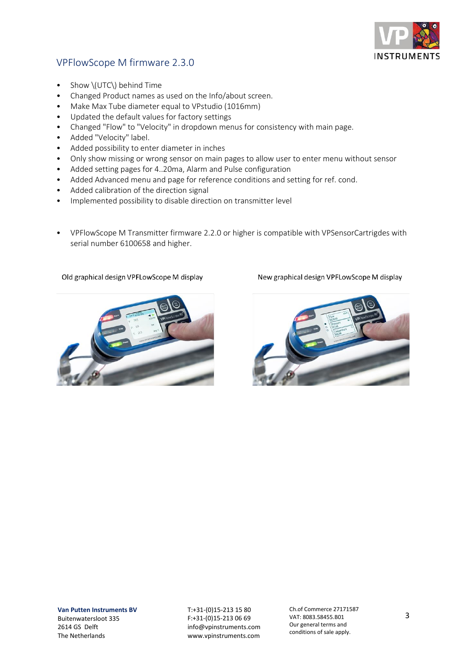

# VPFlowScope M firmware 2.3.0

- Show \(UTC\) behind Time
- Changed Product names as used on the Info/about screen.
- Make Max Tube diameter equal to VPstudio (1016mm)
- Updated the default values for factory settings
- Changed "Flow" to "Velocity" in dropdown menus for consistency with main page.
- Added "Velocity" label.
- Added possibility to enter diameter in inches
- Only show missing or wrong sensor on main pages to allow user to enter menu without sensor
- Added setting pages for 4..20ma, Alarm and Pulse configuration
- Added Advanced menu and page for reference conditions and setting for ref. cond.
- Added calibration of the direction signal
- Implemented possibility to disable direction on transmitter level
- VPFlowScope M Transmitter firmware 2.2.0 or higher is compatible with VPSensorCartrigdes with serial number 6100658 and higher.

### Old graphical design VPFLowScope M display



New graphical design VPFLowScope M display